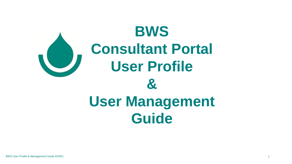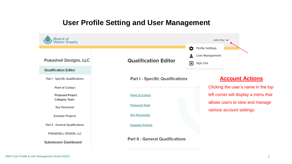# **User Profile Setting and User Management**

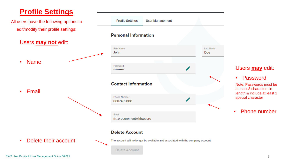# **Profile Settings**

**Profile Settings User Management** All users have the following options to edit/modify their profile settings: **Personal Information** Users **may not** edit: **First Name Last Name John** Doe • Name Password Users **may** edit: \*\*\*\*\*\*\*\*\*\* • Password **Contact Information** Note: Passwords must be at least 8 characters in • Email length & include at least 1 **Phone Number** special character Ò, 8087485000 • Phone numberEmail fn\_procurement@hbws.org **Delete Account** Delete their account The account will no longer be available and associated with the company account **Delete Account**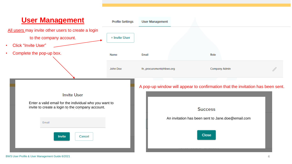### **User Management Profile Settings User Management** All users may invite other users to create a login + Invite User to the company account. • Click "Invite User" • Complete the pop-up box. Name Email Role John Doe fn\_procurement@hbws.org Company Admin A pop-up window will appear to confirmation that the invitation has been sent.**Invite User** Enter a valid email for the individual who you want to invite to create a login to the company account. **Success** An invitation has been sent to Jane.doe@email.com Email **Close** Invite Cancel

#### BWS User Profile & User Management Guide 6/2021 **4** And the User of the User of the User Profile & User Management Guide 6/2021 **4**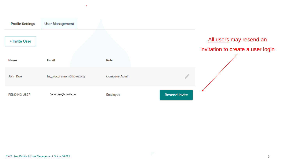| <b>Profile Settings</b> | <b>User Management</b>  |               |                      |                                                              |
|-------------------------|-------------------------|---------------|----------------------|--------------------------------------------------------------|
| + Invite User           |                         |               |                      | All users may resend an<br>invitation to create a user login |
| Name                    | Email                   | Role          |                      |                                                              |
| John Doe                | fn_procurement@hbws.org | Company Admin |                      |                                                              |
| <b>PENDING USER</b>     | Jane.doe@email.com      | Employee      | <b>Resend Invite</b> |                                                              |

 $\bullet$